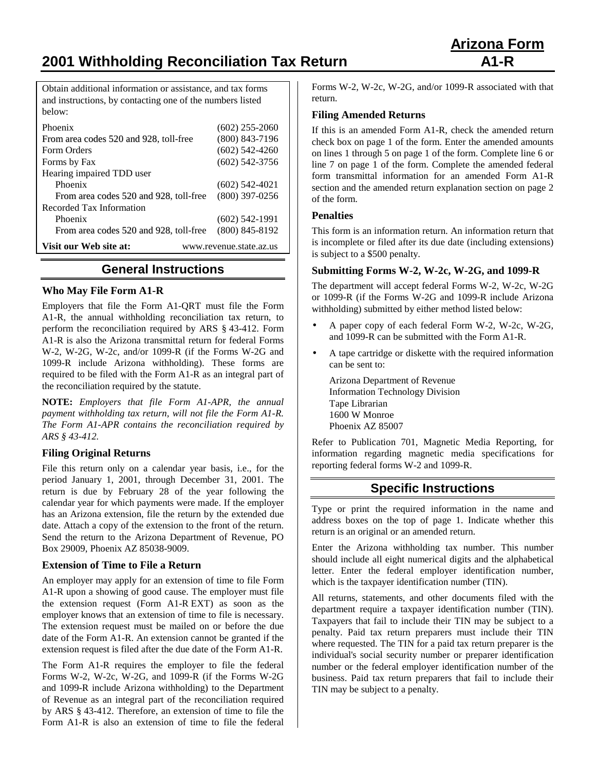**2001 Withholding Reconciliation Tax Return A1-R**

Obtain additional information or assistance, and tax forms and instructions, by contacting one of the numbers listed below:

| Phoenix                                           | $(602)$ 255-2060 |
|---------------------------------------------------|------------------|
| From area codes 520 and 928, toll-free            | $(800)$ 843-7196 |
| Form Orders                                       | $(602)$ 542-4260 |
| Forms by Fax                                      | $(602)$ 542-3756 |
| Hearing impaired TDD user                         |                  |
| Phoenix                                           | (602) 542-4021   |
| From area codes 520 and 928, toll-free            | $(800)$ 397-0256 |
| Recorded Tax Information                          |                  |
| Phoenix                                           | $(602)$ 542-1991 |
| From area codes 520 and 928, toll-free            | $(800)$ 845-8192 |
| Visit our Web site at:<br>www.revenue.state.az.us |                  |

# **General Instructions**

### **Who May File Form A1-R**

Employers that file the Form A1-QRT must file the Form A1-R, the annual withholding reconciliation tax return, to perform the reconciliation required by ARS § 43-412. Form A1-R is also the Arizona transmittal return for federal Forms W-2, W-2G, W-2c, and/or 1099-R (if the Forms W-2G and 1099-R include Arizona withholding). These forms are required to be filed with the Form A1-R as an integral part of the reconciliation required by the statute.

**NOTE:** *Employers that file Form A1-APR, the annual payment withholding tax return, will not file the Form A1-R. The Form A1-APR contains the reconciliation required by ARS § 43-412.*

## **Filing Original Returns**

File this return only on a calendar year basis, i.e., for the period January 1, 2001, through December 31, 2001. The return is due by February 28 of the year following the calendar year for which payments were made. If the employer has an Arizona extension, file the return by the extended due date. Attach a copy of the extension to the front of the return. Send the return to the Arizona Department of Revenue, PO Box 29009, Phoenix AZ 85038-9009.

#### **Extension of Time to File a Return**

An employer may apply for an extension of time to file Form A1-R upon a showing of good cause. The employer must file the extension request (Form A1-R EXT) as soon as the employer knows that an extension of time to file is necessary. The extension request must be mailed on or before the due date of the Form A1-R. An extension cannot be granted if the extension request is filed after the due date of the Form A1-R.

The Form A1-R requires the employer to file the federal Forms W-2, W-2c, W-2G, and 1099-R (if the Forms W-2G and 1099-R include Arizona withholding) to the Department of Revenue as an integral part of the reconciliation required by ARS § 43-412. Therefore, an extension of time to file the Form A1-R is also an extension of time to file the federal

Forms W-2, W-2c, W-2G, and/or 1099-R associated with that return.

### **Filing Amended Returns**

If this is an amended Form A1-R, check the amended return check box on page 1 of the form. Enter the amended amounts on lines 1 through 5 on page 1 of the form. Complete line 6 or line 7 on page 1 of the form. Complete the amended federal form transmittal information for an amended Form A1-R section and the amended return explanation section on page 2 of the form.

### **Penalties**

This form is an information return. An information return that is incomplete or filed after its due date (including extensions) is subject to a \$500 penalty.

## **Submitting Forms W-2, W-2c, W-2G, and 1099-R**

The department will accept federal Forms W-2, W-2c, W-2G or 1099-R (if the Forms W-2G and 1099-R include Arizona withholding) submitted by either method listed below:

- A paper copy of each federal Form W-2, W-2c, W-2G, and 1099-R can be submitted with the Form A1-R.
- A tape cartridge or diskette with the required information can be sent to:

Arizona Department of Revenue Information Technology Division Tape Librarian 1600 W Monroe Phoenix AZ 85007

Refer to Publication 701, Magnetic Media Reporting, for information regarding magnetic media specifications for reporting federal forms W-2 and 1099-R.

# **Specific Instructions**

Type or print the required information in the name and address boxes on the top of page 1. Indicate whether this return is an original or an amended return.

Enter the Arizona withholding tax number. This number should include all eight numerical digits and the alphabetical letter. Enter the federal employer identification number, which is the taxpayer identification number (TIN).

All returns, statements, and other documents filed with the department require a taxpayer identification number (TIN). Taxpayers that fail to include their TIN may be subject to a penalty. Paid tax return preparers must include their TIN where requested. The TIN for a paid tax return preparer is the individual's social security number or preparer identification number or the federal employer identification number of the business. Paid tax return preparers that fail to include their TIN may be subject to a penalty.